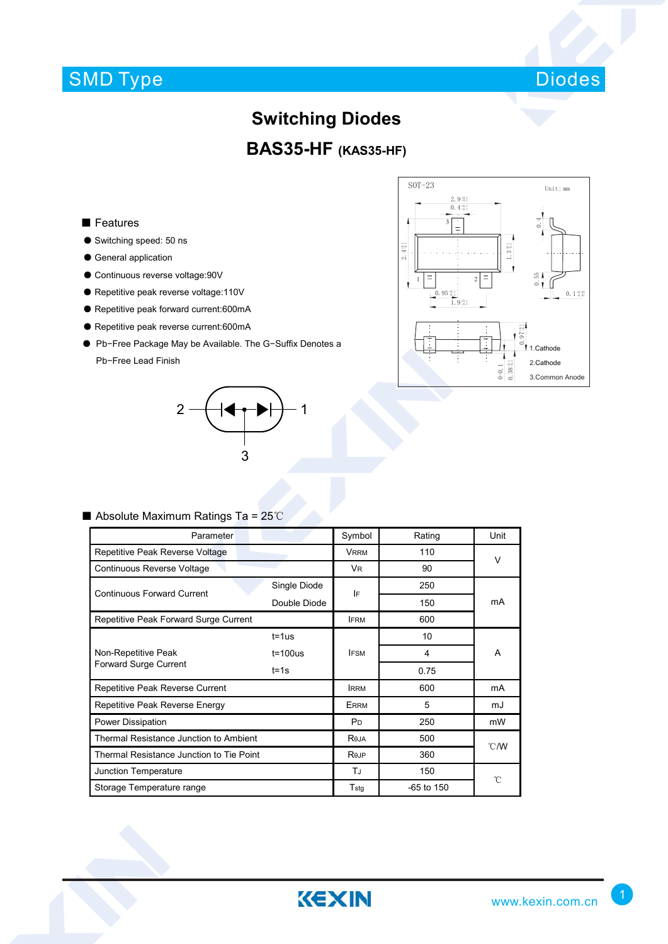# SMD Type



#### **Switching Diodes**

## **BAS35-HF (KAS35-HF)**

#### ■ Features

- Switching speed: 50 ns
- General application
- Continuous reverse voltage:90V
- Repetitive peak reverse voltage:110V
- Repetitive peak forward current:600mA
- Repetitive peak reverse current:600mA
- Pb−Free Package May be Available. The G−Suffix Denotes a Pb−Free Lead Finish





#### ■ Absolute Maximum Ratings Ta = 25℃

| Parameter                                |              | Symbol                | Rating     | Unit          |  |
|------------------------------------------|--------------|-----------------------|------------|---------------|--|
| Repetitive Peak Reverse Voltage          |              | <b>VRRM</b>           | 110        | V             |  |
| Continuous Reverse Voltage               |              | V <sub>R</sub>        | 90         |               |  |
| <b>Continuous Forward Current</b>        | Single Diode | IF                    | 250        |               |  |
|                                          | Double Diode |                       | 150        | mA            |  |
| Repetitive Peak Forward Surge Current    |              | <b>IFRM</b>           | 600        |               |  |
|                                          | $t = 1$ us   |                       | 10         | A             |  |
| Non-Repetitive Peak                      | $t = 100us$  | <b>IFSM</b>           | 4          |               |  |
| Forward Surge Current                    | $t = 1s$     |                       | 0.75       |               |  |
| Repetitive Peak Reverse Current          | <b>IRRM</b>  | 600                   | mA         |               |  |
| Repetitive Peak Reverse Energy           |              | <b>ERRM</b>           | 5          | mJ            |  |
| Power Dissipation                        |              | <b>P</b> <sub>D</sub> | 250        | mW            |  |
| Thermal Resistance Junction to Ambient   |              | Reja                  | 500        | $\degree$ C/W |  |
| Thermal Resistance Junction to Tie Point |              | Rejp                  | 360        |               |  |
| Junction Temperature                     |              | TJ                    | 150        | °C            |  |
| Storage Temperature range                |              | Tstg                  | -65 to 150 |               |  |

KEXIN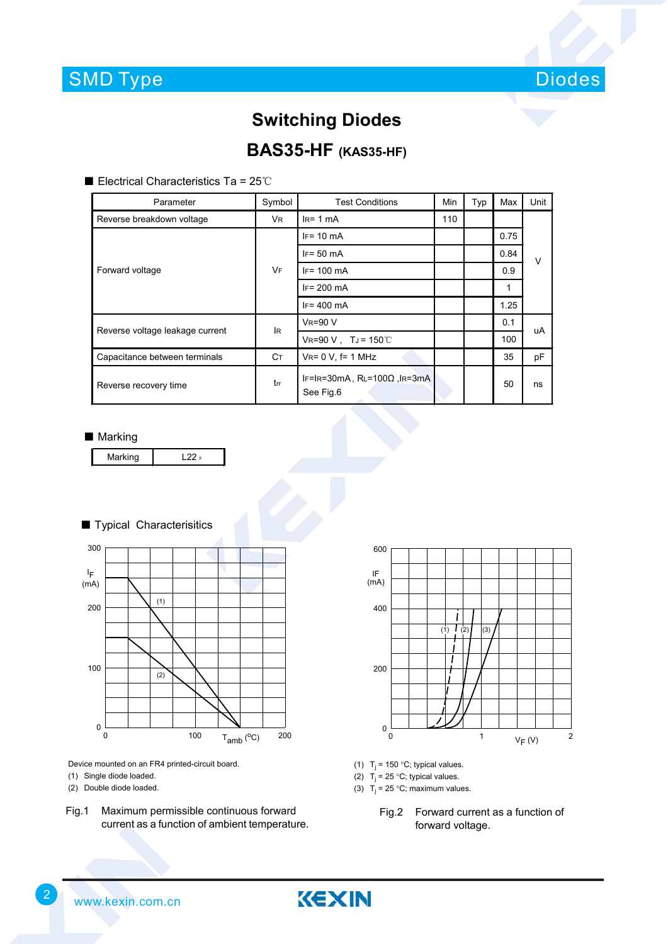

## **Switching Diodes**

### **BAS35-HF (KAS35-HF)**

■ Electrical Characteristics Ta = 25℃

| Parameter                       | Symbol         | <b>Test Conditions</b>                           | Min | Typ | Max  | Unit   |  |
|---------------------------------|----------------|--------------------------------------------------|-----|-----|------|--------|--|
| Reverse breakdown voltage       | V <sub>R</sub> | $IR= 1 mA$                                       | 110 |     |      |        |  |
| Forward voltage                 | <b>VF</b>      | $IF = 10 mA$                                     |     |     | 0.75 | $\vee$ |  |
|                                 |                | $IF = 50$ mA                                     |     |     | 0.84 |        |  |
|                                 |                | $IF = 100$ mA                                    |     |     | 0.9  |        |  |
|                                 |                | $IF = 200$ mA                                    |     |     |      |        |  |
|                                 |                | $IF = 400$ mA                                    |     |     | 1.25 |        |  |
| Reverse voltage leakage current | lR.            | $V_R = 90 V$                                     |     |     | 0.1  | uA     |  |
|                                 |                | $V_R = 90 V$ , TJ = 150℃                         |     |     | 100  |        |  |
| Capacitance between terminals   | Cт             | $V_{R} = 0 V$ , f= 1 MHz                         |     |     | 35   | pF     |  |
| Reverse recovery time           | trr            | IF=IR=30mA, $RL=100\Omega$ , IR=3mA<br>See Fig.6 |     |     | 50   | ns     |  |

#### ■ Marking



#### ■ Typical Characterisitics



Device mounted on an FR4 printed-circuit board.

- (1) Single diode loaded.
- (2) Double diode loaded.
- Fig.1 Maximum permissible continuous forward current as a function of ambient temperature.



- (1)  $T_i = 150 °C$ ; typical values.
- (2)  $T_j = 25 \degree C$ ; typical values.
- (3)  $T_i = 25 \degree C$ ; maximum values.
	- Fig.2 Forward current as a function of forward voltage.

2